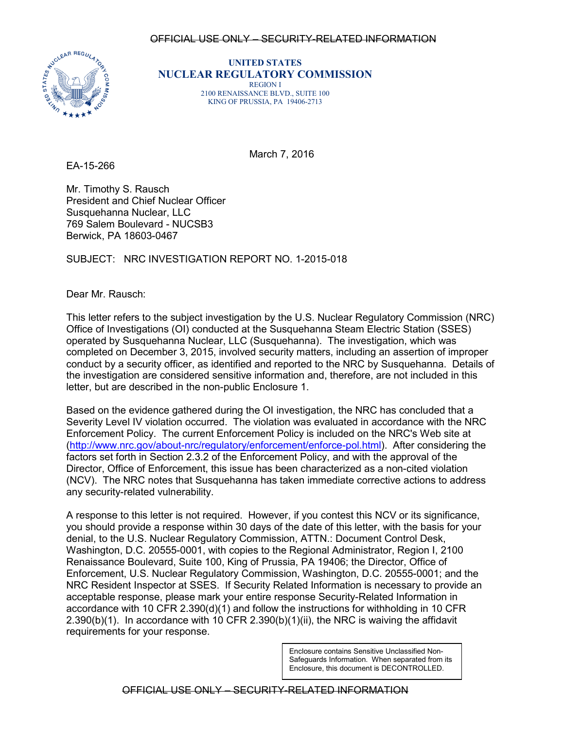#### OFFICIAL USE ONLY – SECURITY-RELATED INFORMATION



**UNITED STATES NUCLEAR REGULATORY COMMISSION** REGION I 2100 RENAISSANCE BLVD., SUITE 100 KING OF PRUSSIA, PA 19406-2713

March 7, 2016

EA-15-266

Mr. Timothy S. Rausch President and Chief Nuclear Officer Susquehanna Nuclear, LLC 769 Salem Boulevard - NUCSB3 Berwick, PA 18603-0467

## SUBJECT: NRC INVESTIGATION REPORT NO. 1-2015-018

Dear Mr. Rausch:

This letter refers to the subject investigation by the U.S. Nuclear Regulatory Commission (NRC) Office of Investigations (OI) conducted at the Susquehanna Steam Electric Station (SSES) operated by Susquehanna Nuclear, LLC (Susquehanna). The investigation, which was completed on December 3, 2015, involved security matters, including an assertion of improper conduct by a security officer, as identified and reported to the NRC by Susquehanna. Details of the investigation are considered sensitive information and, therefore, are not included in this letter, but are described in the non-public Enclosure 1.

Based on the evidence gathered during the OI investigation, the NRC has concluded that a Severity Level IV violation occurred. The violation was evaluated in accordance with the NRC Enforcement Policy. The current Enforcement Policy is included on the NRC's Web site at [\(http://www.nrc.gov/about-nrc/regulatory/enforcement/enforce-pol.html\)](http://www.nrc.gov/about-nrc/regulatory/enforcement/enforce-pol.html). After considering the factors set forth in Section 2.3.2 of the Enforcement Policy, and with the approval of the Director, Office of Enforcement, this issue has been characterized as a non-cited violation (NCV). The NRC notes that Susquehanna has taken immediate corrective actions to address any security-related vulnerability.

A response to this letter is not required. However, if you contest this NCV or its significance, you should provide a response within 30 days of the date of this letter, with the basis for your denial, to the U.S. Nuclear Regulatory Commission, ATTN.: Document Control Desk, Washington, D.C. 20555-0001, with copies to the Regional Administrator, Region I, 2100 Renaissance Boulevard, Suite 100, King of Prussia, PA 19406; the Director, Office of Enforcement, U.S. Nuclear Regulatory Commission, Washington, D.C. 20555-0001; and the NRC Resident Inspector at SSES. If Security Related Information is necessary to provide an acceptable response, please mark your entire response Security-Related Information in accordance with 10 CFR 2.390(d)(1) and follow the instructions for withholding in 10 CFR  $2.390(b)(1)$ . In accordance with 10 CFR  $2.390(b)(1)(ii)$ , the NRC is waiving the affidavit requirements for your response.

> Enclosure contains Sensitive Unclassified Non-Safeguards Information. When separated from its Enclosure, this document is DECONTROLLED.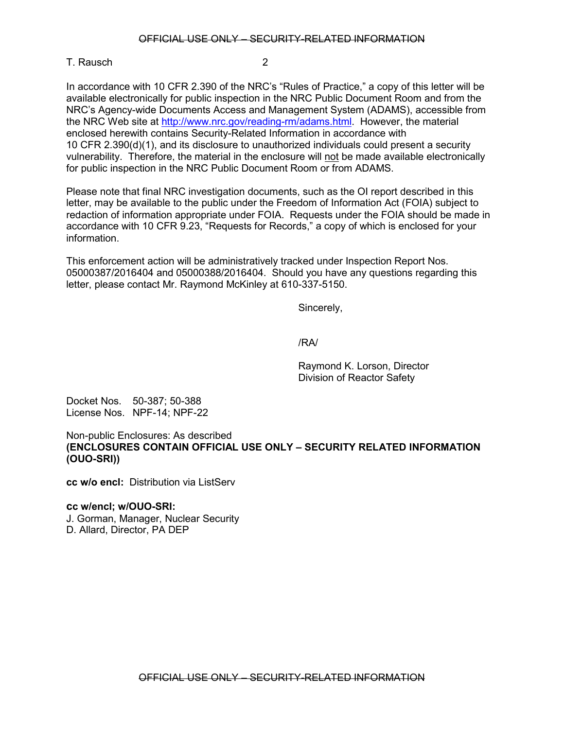# T. Rausch 2

In accordance with 10 CFR 2.390 of the NRC's "Rules of Practice," a copy of this letter will be available electronically for public inspection in the NRC Public Document Room and from the NRC's Agency-wide Documents Access and Management System (ADAMS), accessible from the NRC Web site at [http://www.nrc.gov/reading-rm/adams.html.](http://www.nrc.gov/reading-rm.html) However, the material enclosed herewith contains Security-Related Information in accordance with 10 CFR 2.390(d)(1), and its disclosure to unauthorized individuals could present a security vulnerability. Therefore, the material in the enclosure will not be made available electronically for public inspection in the NRC Public Document Room or from ADAMS.

Please note that final NRC investigation documents, such as the OI report described in this letter, may be available to the public under the Freedom of Information Act (FOIA) subject to redaction of information appropriate under FOIA. Requests under the FOIA should be made in accordance with 10 CFR 9.23, "Requests for Records," a copy of which is enclosed for your information.

This enforcement action will be administratively tracked under Inspection Report Nos. 05000387/2016404 and 05000388/2016404. Should you have any questions regarding this letter, please contact Mr. Raymond McKinley at 610-337-5150.

Sincerely,

/RA/

Raymond K. Lorson, Director Division of Reactor Safety

Docket Nos. 50-387; 50-388 License Nos. NPF-14; NPF-22

Non-public Enclosures: As described **(ENCLOSURES CONTAIN OFFICIAL USE ONLY – SECURITY RELATED INFORMATION (OUO-SRI))**

**cc w/o encl:** Distribution via ListServ

**cc w/encl; w/OUO-SRI:** J. Gorman, Manager, Nuclear Security

D. Allard, Director, PA DEP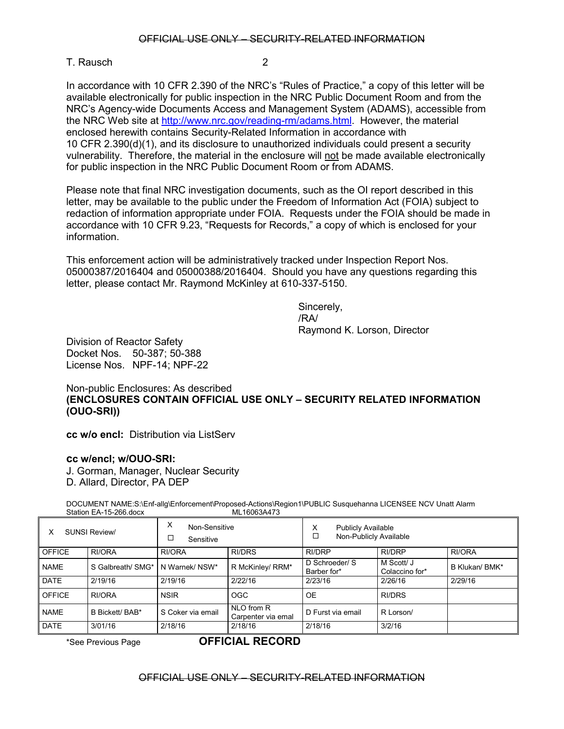# T. Rausch 2

In accordance with 10 CFR 2.390 of the NRC's "Rules of Practice," a copy of this letter will be available electronically for public inspection in the NRC Public Document Room and from the NRC's Agency-wide Documents Access and Management System (ADAMS), accessible from the NRC Web site at [http://www.nrc.gov/reading-rm/adams.html.](http://www.nrc.gov/reading-rm.html) However, the material enclosed herewith contains Security-Related Information in accordance with 10 CFR 2.390(d)(1), and its disclosure to unauthorized individuals could present a security vulnerability. Therefore, the material in the enclosure will not be made available electronically for public inspection in the NRC Public Document Room or from ADAMS.

Please note that final NRC investigation documents, such as the OI report described in this letter, may be available to the public under the Freedom of Information Act (FOIA) subject to redaction of information appropriate under FOIA. Requests under the FOIA should be made in accordance with 10 CFR 9.23, "Requests for Records," a copy of which is enclosed for your information.

This enforcement action will be administratively tracked under Inspection Report Nos. 05000387/2016404 and 05000388/2016404. Should you have any questions regarding this letter, please contact Mr. Raymond McKinley at 610-337-5150.

> Sincerely, /RA/ Raymond K. Lorson, Director

Division of Reactor Safety Docket Nos. 50-387; 50-388 License Nos. NPF-14; NPF-22

Non-public Enclosures: As described **(ENCLOSURES CONTAIN OFFICIAL USE ONLY – SECURITY RELATED INFORMATION (OUO-SRI))**

**cc w/o encl:** Distribution via ListServ

## **cc w/encl; w/OUO-SRI:**

- J. Gorman, Manager, Nuclear Security
- D. Allard, Director, PA DEP

DOCUMENT NAME:S:\Enf-allg\Enforcement\Proposed-Actions\Region1\PUBLIC Susquehanna LICENSEE NCV Unatt Alarm<br>ML16063A473 Station EA-15-266.docx

| <b>SUNSI Review/</b><br>х |                   | Х<br>Non-Sensitive<br>□<br>Sensitive |                                  | х<br><b>Publicly Available</b><br>□<br>Non-Publicly Available |                              |                |
|---------------------------|-------------------|--------------------------------------|----------------------------------|---------------------------------------------------------------|------------------------------|----------------|
| <b>OFFICE</b>             | RI/ORA            | RI/ORA                               | <b>RI/DRS</b>                    | <b>RI/DRP</b>                                                 | <b>RI/DRP</b>                | RI/ORA         |
| <b>NAME</b>               | S Galbreath/ SMG* | N Warnek/ NSW*                       | R McKinley/ RRM*                 | D Schroeder/ S<br>Barber for*                                 | M Scott/ J<br>Colaccino for* | B Klukan/ BMK* |
| <b>DATE</b>               | 2/19/16           | 2/19/16                              | 2/22/16                          | 2/23/16                                                       | 2/26/16                      | 2/29/16        |
| <b>OFFICE</b>             | RI/ORA            | <b>NSIR</b>                          | <b>OGC</b>                       | <b>OE</b>                                                     | <b>RI/DRS</b>                |                |
| <b>NAME</b>               | B Bickett/ BAB*   | S Coker via email                    | NLO from R<br>Carpenter via emal | D Furst via email                                             | R Lorson/                    |                |
| <b>DATE</b>               | 3/01/16           | 2/18/16                              | 2/18/16                          | 2/18/16                                                       | 3/2/16                       |                |

<sup>\*</sup>See Previous Page **OFFICIAL RECORD**